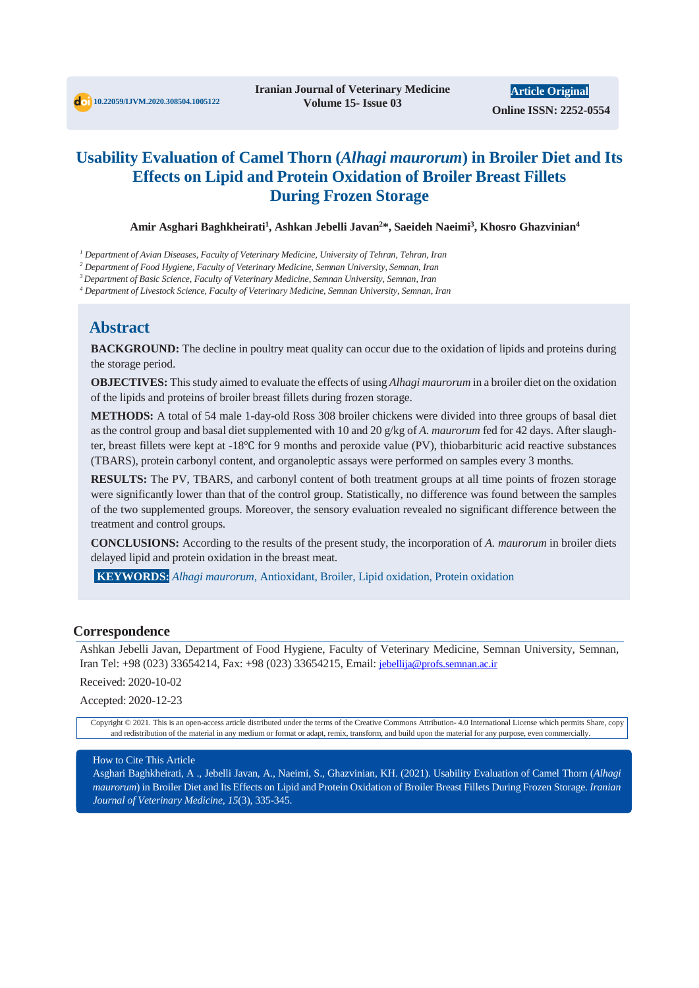# **Usability Evaluation of Camel Thorn (***Alhagi maurorum***) in Broiler Diet and Its Effects on Lipid and Protein Oxidation of Broiler Breast Fillets During Frozen Storage**

**Amir Asghari Baghkheirati1 , Ashkan Jebelli Javan2 \*, Saeideh Naeimi3 , Khosro Ghazvinian4**

*<sup>1</sup> Department of Avian Diseases, Faculty of Veterinary Medicine, University of Tehran, Tehran, Iran* 

*<sup>2</sup> Department of Food Hygiene, Faculty of Veterinary Medicine, Semnan University, Semnan, Iran*

*3 Department of Basic Science, Faculty of Veterinary Medicine, Semnan University, Semnan, Iran*

*<sup>4</sup> Department of Livestock Science, Faculty of Veterinary Medicine, Semnan University, Semnan, Iran*

## **Abstract**

**BACKGROUND:** The decline in poultry meat quality can occur due to the oxidation of lipids and proteins during the storage period.

**OBJECTIVES:** This study aimed to evaluate the effects of using *Alhagi maurorum* in a broiler diet on the oxidation of the lipids and proteins of broiler breast fillets during frozen storage.

**METHODS:** A total of 54 male 1-day-old Ross 308 broiler chickens were divided into three groups of basal diet as the control group and basal diet supplemented with 10 and 20 g/kg of *A. maurorum* fed for 42 days. After slaughter, breast fillets were kept at -18℃ for 9 months and peroxide value (PV), thiobarbituric acid reactive substances (TBARS), protein carbonyl content, and organoleptic assays were performed on samples every 3 months.

**RESULTS:** The PV, TBARS, and carbonyl content of both treatment groups at all time points of frozen storage were significantly lower than that of the control group. Statistically, no difference was found between the samples of the two supplemented groups. Moreover, the sensory evaluation revealed no significant difference between the treatment and control groups.

**CONCLUSIONS:** According to the results of the present study, the incorporation of *A. maurorum* in broiler diets delayed lipid and protein oxidation in the breast meat.

**KEYWORDS:** *Alhagi maurorum*, Antioxidant, Broiler, Lipid oxidation, Protein oxidation

#### **Correspondence**

Ashkan Jebelli Javan, Department of Food Hygiene, Faculty of Veterinary Medicine, Semnan University, Semnan, Iran Tel: +98 (023) 33654214, Fax: +98 (023) 33654215, Email: jebellija@profs.semnan.ac.ir

Received: 2020-10-02

Accepted: 2020-12-23

Copyright © 2021. This is an open-access article distributed under the terms of the Creative Commons Attribution- 4.0 International License which permits Share, copy and redistribution of the material in any medium or format or adapt, remix, transform, and build upon the material for any purpose, even commercially.

#### How to Cite This Article

Asghari Baghkheirati, A ., Jebelli Javan, A., Naeimi, S., Ghazvinian, KH. (2021). Usability Evaluation of Camel Thorn (*Alhagi maurorum*) in Broiler Diet and Its Effects on Lipid and Protein Oxidation of Broiler Breast Fillets During Frozen Storage. *Iranian Journal of Veterinary Medicine, 15*(3), 335-345.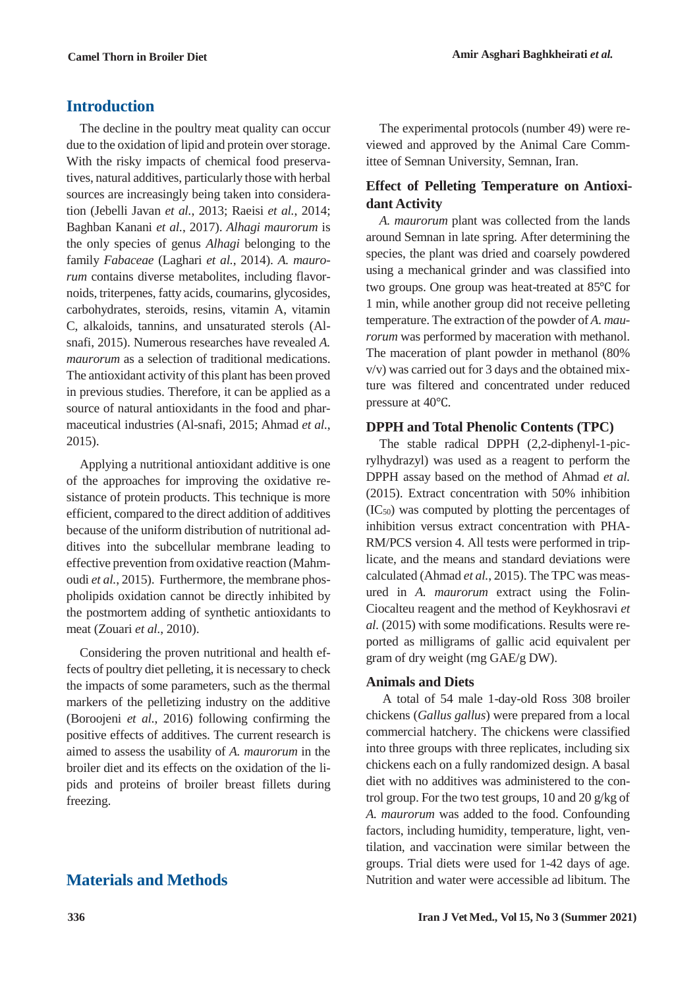# **Introduction**

The decline in the poultry meat quality can occur due to the oxidation of lipid and protein over storage. With the risky impacts of chemical food preservatives, natural additives, particularly those with herbal sources are increasingly being taken into consideration (Jebelli Javan *et al.*, 2013; Raeisi *et al.*, 2014; Baghban Kanani *et al.*, 2017). *Alhagi maurorum* is the only species of genus *Alhagi* belonging to the family *Fabaceae* (Laghari *et al.*, 2014). *A. maurorum* contains diverse metabolites, including flavornoids, triterpenes, fatty acids, coumarins, glycosides, carbohydrates, steroids, resins, vitamin A, vitamin C, alkaloids, tannins, and unsaturated sterols (Alsnafi, 2015). Numerous researches have revealed *A. maurorum* as a selection of traditional medications. The antioxidant activity of this plant has been proved in previous studies. Therefore, it can be applied as a source of natural antioxidants in the food and pharmaceutical industries (Al-snafi, 2015; Ahmad *et al.*, 2015).

Applying a nutritional antioxidant additive is one of the approaches for improving the oxidative resistance of protein products. This technique is more efficient, compared to the direct addition of additives because of the uniform distribution of nutritional additives into the subcellular membrane leading to effective prevention from oxidative reaction (Mahmoudi *et al.*, 2015). Furthermore, the membrane phospholipids oxidation cannot be directly inhibited by the postmortem adding of synthetic antioxidants to meat (Zouari *et al.*, 2010).

Considering the proven nutritional and health effects of poultry diet pelleting, it is necessary to check the impacts of some parameters, such as the thermal markers of the pelletizing industry on the additive (Boroojeni *et al.*, 2016) following confirming the positive effects of additives. The current research is aimed to assess the usability of *A. maurorum* in the broiler diet and its effects on the oxidation of the lipids and proteins of broiler breast fillets during freezing.

# **Materials and Methods**

The experimental protocols (number 49) were reviewed and approved by the Animal Care Committee of Semnan University, Semnan, Iran.

## **Effect of Pelleting Temperature on Antioxidant Activity**

*A. maurorum* plant was collected from the lands around Semnan in late spring. After determining the species, the plant was dried and coarsely powdered using a mechanical grinder and was classified into two groups. One group was heat-treated at 85℃ for 1 min, while another group did not receive pelleting temperature. The extraction of the powder of *A. maurorum* was performed by maceration with methanol. The maceration of plant powder in methanol (80% v/v) was carried out for 3 days and the obtained mixture was filtered and concentrated under reduced pressure at 40℃.

## **DPPH and Total Phenolic Contents (TPC)**

The stable radical DPPH (2,2-diphenyl-1-picrylhydrazyl) was used as a reagent to perform the DPPH assay based on the method of Ahmad *et al.* (2015). Extract concentration with 50% inhibition  $(IC_{50})$  was computed by plotting the percentages of inhibition versus extract concentration with PHA-RM/PCS version 4. All tests were performed in triplicate, and the means and standard deviations were calculated (Ahmad *et al.*, 2015). The TPC was measured in *A. maurorum* extract using the Folin-Ciocalteu reagent and the method of Keykhosravi *et al.* (2015) with some modifications. Results were reported as milligrams of gallic acid equivalent per gram of dry weight (mg GAE/g DW).

## **Animals and Diets**

A total of 54 male 1-day-old Ross 308 broiler chickens (*Gallus gallus*) were prepared from a local commercial hatchery. The chickens were classified into three groups with three replicates, including six chickens each on a fully randomized design. A basal diet with no additives was administered to the control group. For the two test groups, 10 and 20 g/kg of *A. maurorum* was added to the food. Confounding factors, including humidity, temperature, light, ventilation, and vaccination were similar between the groups. Trial diets were used for 1-42 days of age. Nutrition and water were accessible ad libitum. The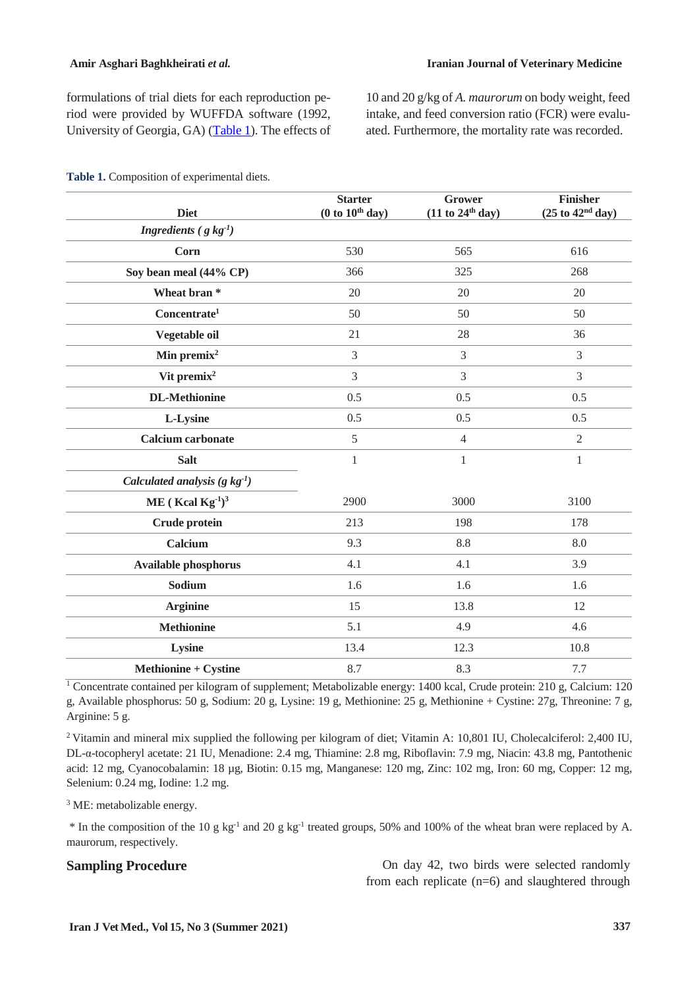formulations of trial diets for each reproduction period were provided by WUFFDA software (1992, University of Georgia, GA) [\(Table 1\)](#page-2-0). The effects of 10 and 20 g/kg of *A. maurorum* on body weight, feed intake, and feed conversion ratio (FCR) were evaluated. Furthermore, the mortality rate was recorded.

| <b>Diet</b>                         | <b>Starter</b><br>(0 to 10 <sup>th</sup> day) | Grower<br>(11 to 24 <sup>th</sup> day) | Finisher<br>(25 to 42 <sup>nd</sup> day) |
|-------------------------------------|-----------------------------------------------|----------------------------------------|------------------------------------------|
| Ingredients ( $g kg^{-1}$ )         |                                               |                                        |                                          |
| <b>Corn</b>                         | 530                                           | 565                                    | 616                                      |
| Soy bean meal (44% CP)              | 366                                           | 325                                    | 268                                      |
| Wheat bran*                         | 20                                            | 20                                     | 20                                       |
| Concentrate <sup>1</sup>            | 50                                            | 50                                     | 50                                       |
| Vegetable oil                       | 21                                            | 28                                     | 36                                       |
| Min premix <sup>2</sup>             | $\overline{3}$                                | $\mathfrak{Z}$                         | 3                                        |
| Vit premix <sup>2</sup>             | 3                                             | 3                                      | 3                                        |
| <b>DL-Methionine</b>                | 0.5                                           | 0.5                                    | 0.5                                      |
| L-Lysine                            | 0.5                                           | 0.5                                    | 0.5                                      |
| <b>Calcium carbonate</b>            | 5                                             | $\overline{4}$                         | $\overline{2}$                           |
| <b>Salt</b>                         | $\mathbf{1}$                                  | $\mathbf{1}$                           | $\mathbf{1}$                             |
| Calculated analysis $(g \ kg^{-1})$ |                                               |                                        |                                          |
| ME (Kcal Kg $^{-1})^3$              | 2900                                          | 3000                                   | 3100                                     |
| Crude protein                       | 213                                           | 198                                    | 178                                      |
| Calcium                             | 9.3                                           | 8.8                                    | 8.0                                      |
| <b>Available phosphorus</b>         | 4.1                                           | 4.1                                    | 3.9                                      |
| Sodium                              | 1.6                                           | 1.6                                    | 1.6                                      |
| <b>Arginine</b>                     | 15                                            | 13.8                                   | 12                                       |
| <b>Methionine</b>                   | 5.1                                           | 4.9                                    | 4.6                                      |
| Lysine                              | 13.4                                          | 12.3                                   | 10.8                                     |
| <b>Methionine + Cystine</b>         | 8.7                                           | 8.3                                    | 7.7                                      |

<span id="page-2-0"></span>**Table 1.** Composition of experimental diets.

<sup>1</sup> Concentrate contained per kilogram of supplement; Metabolizable energy: 1400 kcal, Crude protein: 210 g, Calcium: 120 g, Available phosphorus: 50 g, Sodium: 20 g, Lysine: 19 g, Methionine: 25 g, Methionine + Cystine: 27g, Threonine: 7 g, Arginine: 5 g.

2 Vitamin and mineral mix supplied the following per kilogram of diet; Vitamin A: 10,801 IU, Cholecalciferol: 2,400 IU, DL-α-tocopheryl acetate: 21 IU, Menadione: 2.4 mg, Thiamine: 2.8 mg, Riboflavin: 7.9 mg, Niacin: 43.8 mg, Pantothenic acid: 12 mg, Cyanocobalamin: 18 µg, Biotin: 0.15 mg, Manganese: 120 mg, Zinc: 102 mg, Iron: 60 mg, Copper: 12 mg, Selenium: 0.24 mg, Iodine: 1.2 mg.

<sup>3</sup> ME: metabolizable energy.

\* In the composition of the 10 g kg-1 and 20 g kg-1 treated groups, 50% and 100% of the wheat bran were replaced by A. maurorum, respectively.

**Sampling Procedure** On day 42, two birds were selected randomly from each replicate (n=6) and slaughtered through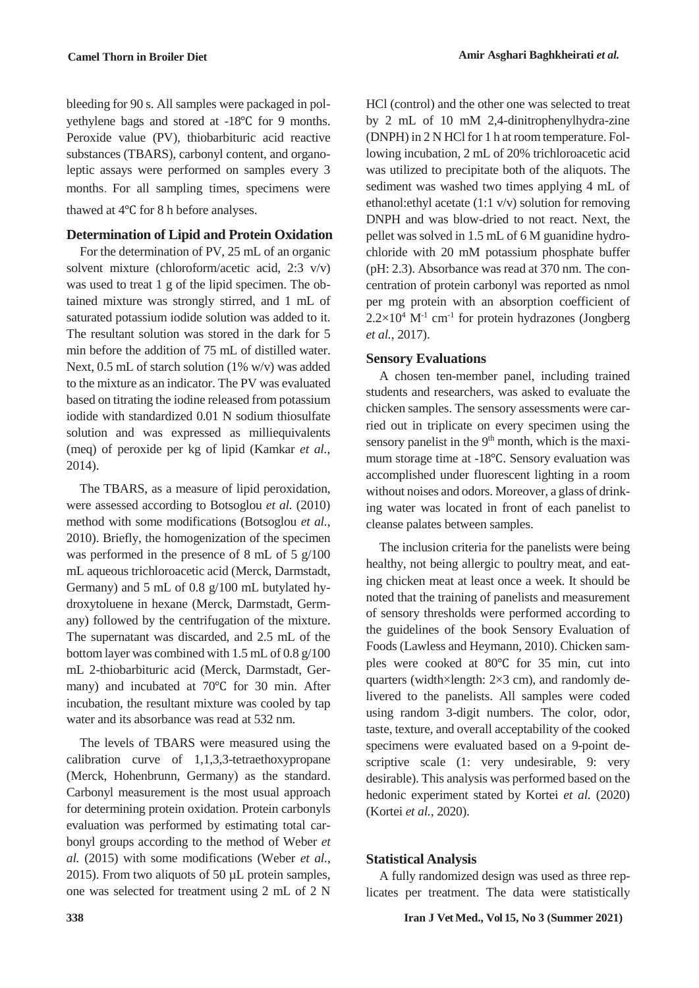bleeding for 90 s. All samples were packaged in polyethylene bags and stored at -18℃ for 9 months. Peroxide value (PV), thiobarbituric acid reactive substances (TBARS), carbonyl content, and organoleptic assays were performed on samples every 3 months. For all sampling times, specimens were thawed at 4℃ for 8 h before analyses.

## **Determination of Lipid and Protein Oxidation**

For the determination of PV, 25 mL of an organic solvent mixture (chloroform/acetic acid, 2:3 v/v) was used to treat 1 g of the lipid specimen. The obtained mixture was strongly stirred, and 1 mL of saturated potassium iodide solution was added to it. The resultant solution was stored in the dark for 5 min before the addition of 75 mL of distilled water. Next, 0.5 mL of starch solution (1% w/v) was added to the mixture as an indicator. The PV was evaluated based on titrating the iodine released from potassium iodide with standardized 0.01 N sodium thiosulfate solution and was expressed as milliequivalents (meq) of peroxide per kg of lipid (Kamkar *et al.*, 2014).

The TBARS, as a measure of lipid peroxidation, were assessed according to Botsoglou *et al.* (2010) method with some modifications (Botsoglou *et al.*, 2010). Briefly, the homogenization of the specimen was performed in the presence of 8 mL of 5 g/100 mL aqueous trichloroacetic acid (Merck, Darmstadt, Germany) and 5 mL of 0.8 g/100 mL butylated hydroxytoluene in hexane (Merck, Darmstadt, Germany) followed by the centrifugation of the mixture. The supernatant was discarded, and 2.5 mL of the bottom layer was combined with 1.5 mL of 0.8 g/100 mL 2-thiobarbituric acid (Merck, Darmstadt, Germany) and incubated at 70℃ for 30 min. After incubation, the resultant mixture was cooled by tap water and its absorbance was read at 532 nm.

The levels of TBARS were measured using the calibration curve of 1,1,3,3-tetraethoxypropane (Merck, Hohenbrunn, Germany) as the standard. Carbonyl measurement is the most usual approach for determining protein oxidation. Protein carbonyls evaluation was performed by estimating total carbonyl groups according to the method of Weber *et al.* (2015) with some modifications (Weber *et al.*, 2015). From two aliquots of 50  $\mu$ L protein samples, one was selected for treatment using 2 mL of 2 N

HCl (control) and the other one was selected to treat by 2 mL of 10 mM 2,4-dinitrophenylhydra-zine (DNPH) in 2 N HCl for 1 h at room temperature. Following incubation, 2 mL of 20% trichloroacetic acid was utilized to precipitate both of the aliquots. The sediment was washed two times applying 4 mL of ethanol:ethyl acetate (1:1 v/v) solution for removing DNPH and was blow-dried to not react. Next, the pellet was solved in 1.5 mL of 6 M guanidine hydrochloride with 20 mM potassium phosphate buffer (pH: 2.3). Absorbance was read at 370 nm. The concentration of protein carbonyl was reported as nmol per mg protein with an absorption coefficient of  $2.2\times10^4$  M<sup>-1</sup> cm<sup>-1</sup> for protein hydrazones (Jongberg *et al.*, 2017).

## **Sensory Evaluations**

A chosen ten-member panel, including trained students and researchers, was asked to evaluate the chicken samples. The sensory assessments were carried out in triplicate on every specimen using the sensory panelist in the  $9<sup>th</sup>$  month, which is the maximum storage time at -18℃. Sensory evaluation was accomplished under fluorescent lighting in a room without noises and odors. Moreover, a glass of drinking water was located in front of each panelist to cleanse palates between samples.

The inclusion criteria for the panelists were being healthy, not being allergic to poultry meat, and eating chicken meat at least once a week. It should be noted that the training of panelists and measurement of sensory thresholds were performed according to the guidelines of the book Sensory Evaluation of Foods (Lawless and Heymann, 2010). Chicken samples were cooked at 80℃ for 35 min, cut into quarters (width×length: 2×3 cm), and randomly delivered to the panelists. All samples were coded using random 3-digit numbers. The color, odor, taste, texture, and overall acceptability of the cooked specimens were evaluated based on a 9-point descriptive scale (1: very undesirable, 9: very desirable). This analysis was performed based on the hedonic experiment stated by Kortei *et al.* (2020) (Kortei *et al.*, 2020).

## **Statistical Analysis**

A fully randomized design was used as three replicates per treatment. The data were statistically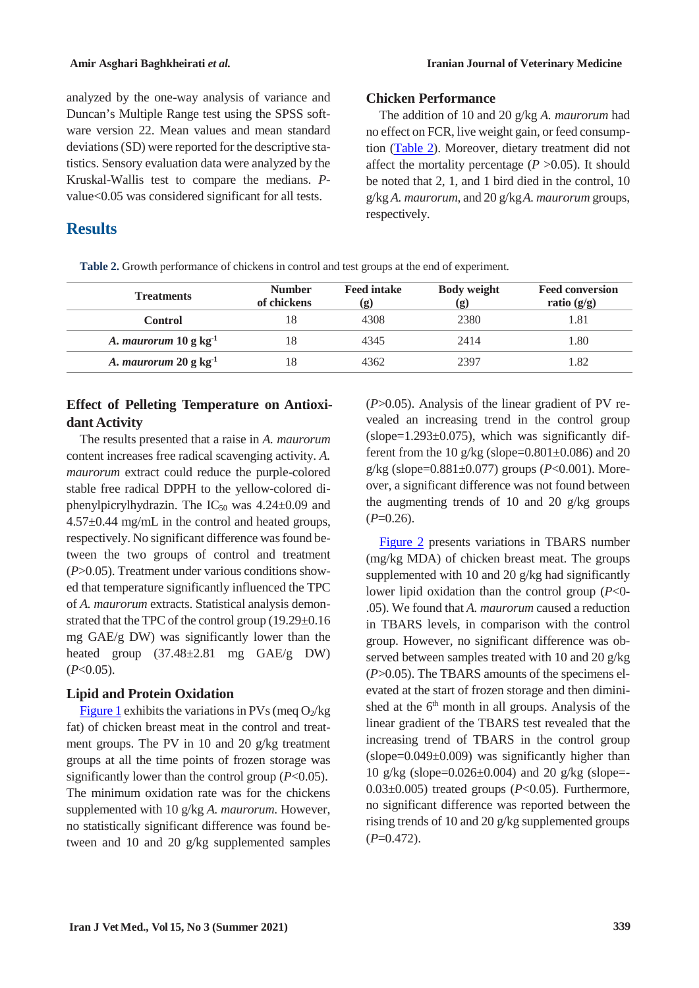analyzed by the one-way analysis of variance and Duncan's Multiple Range test using the SPSS software version 22. Mean values and mean standard deviations (SD) were reported for the descriptive statistics. Sensory evaluation data were analyzed by the Kruskal-Wallis test to compare the medians. *P*value<0.05 was considered significant for all tests.

## **Results**

## **Chicken Performance**

The addition of 10 and 20 g/kg *A. maurorum* had no effect on FCR, live weight gain, or feed consumption [\(Table 2\)](#page-4-0). Moreover, dietary treatment did not affect the mortality percentage  $(P > 0.05)$ . It should be noted that 2, 1, and 1 bird died in the control, 10 g/kg *A. maurorum*, and 20 g/kg*A. maurorum* groups, respectively.

<span id="page-4-0"></span>

| Table 2. Growth performance of chickens in control and test groups at the end of experiment. |  |  |
|----------------------------------------------------------------------------------------------|--|--|
|                                                                                              |  |  |

| <b>Treatments</b>                  | <b>Number</b><br>of chickens | <b>Feed intake</b><br>(g) | <b>Body weight</b><br>$\left( \mathbf{g} \right)$ | <b>Feed conversion</b><br>ratio $(g/g)$ |
|------------------------------------|------------------------------|---------------------------|---------------------------------------------------|-----------------------------------------|
| Control                            | 18                           | 4308                      | 2380                                              | 1.81                                    |
| A. maurorum $10 \text{ g kg}^{-1}$ | 18                           | 4345                      | 2414                                              | l.80                                    |
| A. maurorum $20 \text{ g kg}^{-1}$ | 18                           | 4362                      | 2397                                              | l.82                                    |

## **Effect of Pelleting Temperature on Antioxidant Activity**

The results presented that a raise in *A. maurorum*  content increases free radical scavenging activity. *A. maurorum* extract could reduce the purple-colored stable free radical DPPH to the yellow-colored diphenylpicrylhydrazin. The  $IC_{50}$  was 4.24 $\pm$ 0.09 and 4.57±0.44 mg/mL in the control and heated groups, respectively. No significant difference was found between the two groups of control and treatment (*P*>0.05). Treatment under various conditions showed that temperature significantly influenced the TPC of *A. maurorum* extracts. Statistical analysis demonstrated that the TPC of the control group (19.29±0.16 mg GAE/g DW) was significantly lower than the heated group (37.48±2.81 mg GAE/g DW)  $(P<0.05)$ .

## **Lipid and Protein Oxidation**

[Figure 1](#page-5-0) exhibits the variations in PVs (meq  $O_2$ /kg fat) of chicken breast meat in the control and treatment groups. The PV in 10 and 20 g/kg treatment groups at all the time points of frozen storage was significantly lower than the control group (*P*<0.05). The minimum oxidation rate was for the chickens supplemented with 10 g/kg *A. maurorum*. However, no statistically significant difference was found between and 10 and 20 g/kg supplemented samples (*P*>0.05). Analysis of the linear gradient of PV revealed an increasing trend in the control group (slope=1.293±0.075), which was significantly different from the 10 g/kg (slope= $0.801\pm0.086$ ) and 20 g/kg (slope=0.881±0.077) groups (*P*<0.001). Moreover, a significant difference was not found between the augmenting trends of 10 and 20 g/kg groups  $(P=0.26)$ .

[Figure 2](#page-5-1) presents variations in TBARS number (mg/kg MDA) of chicken breast meat. The groups supplemented with 10 and 20 g/kg had significantly lower lipid oxidation than the control group (*P*<0- .05). We found that *A. maurorum* caused a reduction in TBARS levels, in comparison with the control group. However, no significant difference was observed between samples treated with 10 and 20 g/kg (*P*>0.05). The TBARS amounts of the specimens elevated at the start of frozen storage and then diminished at the  $6<sup>th</sup>$  month in all groups. Analysis of the linear gradient of the TBARS test revealed that the increasing trend of TBARS in the control group  $(slope=0.049\pm0.009)$  was significantly higher than 10 g/kg (slope=0.026±0.004) and 20 g/kg (slope=- 0.03±0.005) treated groups (*P*<0.05). Furthermore, no significant difference was reported between the rising trends of 10 and 20 g/kg supplemented groups (*P*=0.472).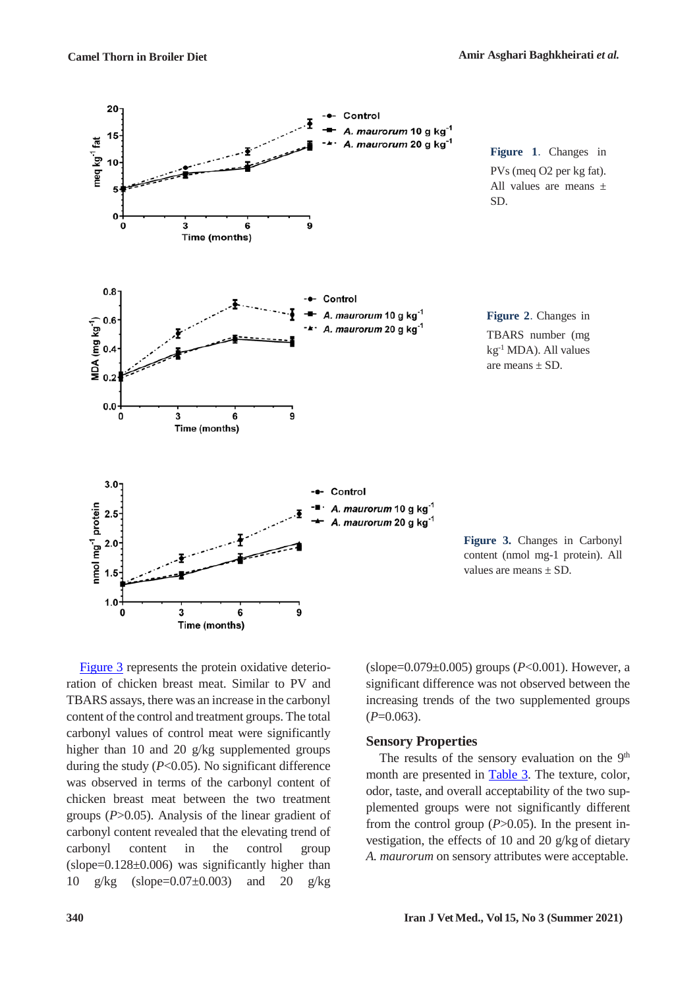<span id="page-5-0"></span>

<span id="page-5-3"></span>[Figure 3](#page-5-2) represents the protein oxidative deterioration of chicken breast meat. Similar to PV and TBARS assays, there was an increase in the carbonyl content of the control and treatment groups. The total carbonyl values of control meat were significantly higher than 10 and 20 g/kg supplemented groups during the study  $(P<0.05)$ . No significant difference was observed in terms of the carbonyl content of chicken breast meat between the two treatment groups (*P*>0.05). Analysis of the linear gradient of carbonyl content revealed that the elevating trend of carbonyl content in the control group (slope=0.128±0.006) was significantly higher than 10 g/kg (slope=0.07±0.003) and 20 g/kg

<span id="page-5-2"></span><span id="page-5-1"></span>(slope=0.079±0.005) groups (*P*<0.001). However, a significant difference was not observed between the increasing trends of the two supplemented groups  $(P=0.063)$ .

### **Sensory Properties**

The results of the sensory evaluation on the  $9<sup>th</sup>$ month are presented in [Table 3.](#page-5-3) The texture, color, odor, taste, and overall acceptability of the two supplemented groups were not significantly different from the control group (*P*>0.05). In the present investigation, the effects of 10 and 20 g/kg of dietary *A. maurorum* on sensory attributes were acceptable.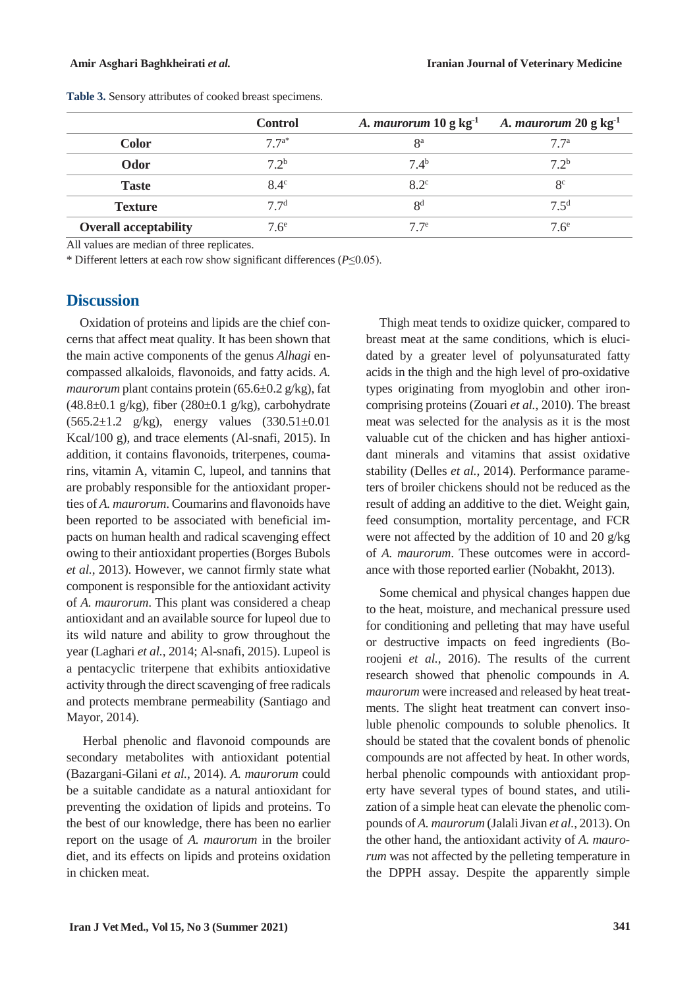|                              | <b>Control</b>   | A. <i>maurorum</i> $10 \text{ g kg}^{-1}$ | A. maurorum $20 \text{ g kg}^{-1}$ |
|------------------------------|------------------|-------------------------------------------|------------------------------------|
| <b>Color</b>                 | $7.7^{a*}$       | <sup>8a</sup>                             | 77 <sup>a</sup>                    |
| Odor                         | $7.2^{b}$        | $7.4^{b}$                                 | 72 <sup>b</sup>                    |
| <b>Taste</b>                 | $8.4^\circ$      | $8.2^{\circ}$                             | 8 <sup>c</sup>                     |
| <b>Texture</b>               | 7.7 <sup>d</sup> | R <sup>d</sup>                            | $7\,5^d$                           |
| <b>Overall acceptability</b> | 7.6 <sup>e</sup> | 77                                        | $76^e$                             |

**Table 3.** Sensory attributes of cooked breast specimens.

All values are median of three replicates.

\* Different letters at each row show significant differences (*P*≤0.05).

## **Discussion**

Oxidation of proteins and lipids are the chief concerns that affect meat quality. It has been shown that the main active components of the genus *Alhagi* encompassed alkaloids, flavonoids, and fatty acids. *A. maurorum* plant contains protein (65.6±0.2 g/kg), fat  $(48.8\pm0.1 \text{ g/kg})$ , fiber  $(280\pm0.1 \text{ g/kg})$ , carbohydrate  $(565.2 \pm 1.2 \text{ g/kg})$ , energy values  $(330.51 \pm 0.01)$ Kcal/100 g), and trace elements (Al-snafi, 2015). In addition, it contains flavonoids, triterpenes, coumarins, vitamin A, vitamin C, lupeol, and tannins that are probably responsible for the antioxidant properties of *A. maurorum*. Coumarins and flavonoids have been reported to be associated with beneficial impacts on human health and radical scavenging effect owing to their antioxidant properties (Borges Bubols *et al.*, 2013). However, we cannot firmly state what component is responsible for the antioxidant activity of *A. maurorum*. This plant was considered a cheap antioxidant and an available source for lupeol due to its wild nature and ability to grow throughout the year (Laghari *et al.*, 2014; Al-snafi, 2015). Lupeol is a pentacyclic triterpene that exhibits antioxidative activity through the direct scavenging of free radicals and protects membrane permeability (Santiago and Mayor, 2014).

Herbal phenolic and flavonoid compounds are secondary metabolites with antioxidant potential (Bazargani-Gilani *et al.*, 2014). *A. maurorum* could be a suitable candidate as a natural antioxidant for preventing the oxidation of lipids and proteins. To the best of our knowledge, there has been no earlier report on the usage of *A. maurorum* in the broiler diet, and its effects on lipids and proteins oxidation in chicken meat.

Thigh meat tends to oxidize quicker, compared to breast meat at the same conditions, which is elucidated by a greater level of polyunsaturated fatty acids in the thigh and the high level of pro-oxidative types originating from myoglobin and other ironcomprising proteins (Zouari *et al.*, 2010). The breast meat was selected for the analysis as it is the most valuable cut of the chicken and has higher antioxidant minerals and vitamins that assist oxidative stability (Delles *et al.*, 2014). Performance parameters of broiler chickens should not be reduced as the result of adding an additive to the diet. Weight gain, feed consumption, mortality percentage, and FCR were not affected by the addition of 10 and 20 g/kg of *A. maurorum*. These outcomes were in accordance with those reported earlier (Nobakht, 2013).

Some chemical and physical changes happen due to the heat, moisture, and mechanical pressure used for conditioning and pelleting that may have useful or destructive impacts on feed ingredients (Boroojeni *et al.*, 2016). The results of the current research showed that phenolic compounds in *A. maurorum* were increased and released by heat treatments. The slight heat treatment can convert insoluble phenolic compounds to soluble phenolics. It should be stated that the covalent bonds of phenolic compounds are not affected by heat. In other words, herbal phenolic compounds with antioxidant property have several types of bound states, and utilization of a simple heat can elevate the phenolic compounds of *A. maurorum* (Jalali Jivan *et al.*, 2013). On the other hand, the antioxidant activity of *A. maurorum* was not affected by the pelleting temperature in the DPPH assay. Despite the apparently simple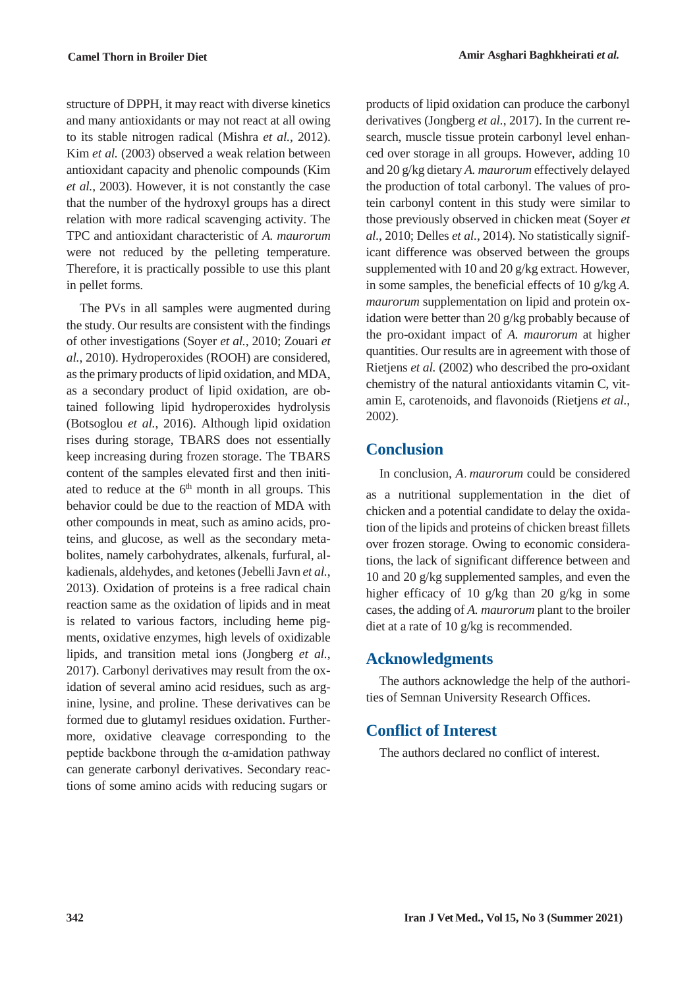structure of DPPH, it may react with diverse kinetics and many antioxidants or may not react at all owing to its stable nitrogen radical (Mishra *et al.*, 2012). Kim *et al.* (2003) observed a weak relation between antioxidant capacity and phenolic compounds (Kim *et al.*, 2003). However, it is not constantly the case that the number of the hydroxyl groups has a direct relation with more radical scavenging activity. The TPC and antioxidant characteristic of *A. maurorum* were not reduced by the pelleting temperature. Therefore, it is practically possible to use this plant in pellet forms.

The PVs in all samples were augmented during the study. Our results are consistent with the findings of other investigations (Soyer *et al.*, 2010; Zouari *et al.*, 2010). Hydroperoxides (ROOH) are considered, as the primary products of lipid oxidation, and MDA, as a secondary product of lipid oxidation, are obtained following lipid hydroperoxides hydrolysis (Botsoglou *et al.*, 2016). Although lipid oxidation rises during storage, TBARS does not essentially keep increasing during frozen storage. The TBARS content of the samples elevated first and then initiated to reduce at the  $6<sup>th</sup>$  month in all groups. This behavior could be due to the reaction of MDA with other compounds in meat, such as amino acids, proteins, and glucose, as well as the secondary metabolites, namely carbohydrates, alkenals, furfural, alkadienals, aldehydes, and ketones (Jebelli Javn *et al.*, 2013). Oxidation of proteins is a free radical chain reaction same as the oxidation of lipids and in meat is related to various factors, including heme pigments, oxidative enzymes, high levels of oxidizable lipids, and transition metal ions (Jongberg *et al.*, 2017). Carbonyl derivatives may result from the oxidation of several amino acid residues, such as arginine, lysine, and proline. These derivatives can be formed due to glutamyl residues oxidation. Furthermore, oxidative cleavage corresponding to the peptide backbone through the α-amidation pathway can generate carbonyl derivatives. Secondary reactions of some amino acids with reducing sugars or

products of lipid oxidation can produce the carbonyl derivatives (Jongberg *et al.*, 2017). In the current research, muscle tissue protein carbonyl level enhanced over storage in all groups. However, adding 10 and 20 g/kg dietary *A. maurorum* effectively delayed the production of total carbonyl. The values of protein carbonyl content in this study were similar to those previously observed in chicken meat (Soyer *et al.*, 2010; Delles *et al.*, 2014). No statistically significant difference was observed between the groups supplemented with 10 and 20 g/kg extract. However, in some samples, the beneficial effects of 10 g/kg *A. maurorum* supplementation on lipid and protein oxidation were better than 20 g/kg probably because of the pro-oxidant impact of *A. maurorum* at higher quantities. Our results are in agreement with those of Rietjens *et al.* (2002) who described the pro-oxidant chemistry of the natural antioxidants vitamin C, vitamin E, carotenoids, and flavonoids (Rietjens *et al.*, 2002).

## **Conclusion**

In conclusion, *A*. *maurorum* could be considered as a nutritional supplementation in the diet of chicken and a potential candidate to delay the oxidation of the lipids and proteins of chicken breast fillets over frozen storage. Owing to economic considerations, the lack of significant difference between and 10 and 20 g/kg supplemented samples, and even the higher efficacy of 10 g/kg than 20 g/kg in some cases, the adding of *A. maurorum* plant to the broiler diet at a rate of 10 g/kg is recommended.

## **Acknowledgments**

The authors acknowledge the help of the authorities of Semnan University Research Offices.

# **Conflict of Interest**

The authors declared no conflict of interest.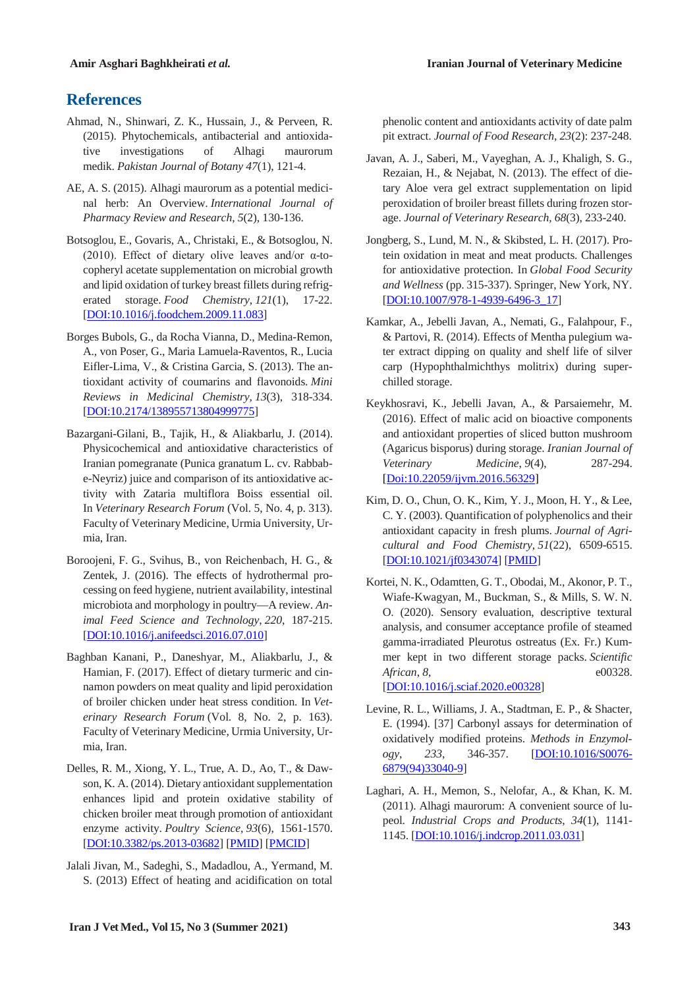## **References**

- Ahmad, N., Shinwari, Z. K., Hussain, J., & Perveen, R. (2015). Phytochemicals, antibacterial and antioxidative investigations of Alhagi maurorum medik. *Pakistan Journal of Botany 47*(1), 121-4.
- AE, A. S. (2015). Alhagi maurorum as a potential medicinal herb: An Overview. *International Journal of Pharmacy Review and Research*, *5*(2), 130-136.
- Botsoglou, E., Govaris, A., Christaki, E., & Botsoglou, N. (2010). Effect of dietary olive leaves and/or α-tocopheryl acetate supplementation on microbial growth and lipid oxidation of turkey breast fillets during refrigerated storage. *Food Chemistry*, *121*(1), 17-22. [DOI:10.1016/j.foodchem.2009.11.083]
- Borges Bubols, G., da Rocha Vianna, D., Medina-Remon, A., von Poser, G., Maria Lamuela-Raventos, R., Lucia Eifler-Lima, V., & Cristina Garcia, S. (2013). The antioxidant activity of coumarins and flavonoids. *Mini Reviews in Medicinal Chemistry*, *13*(3), 318-334. [DOI:10.2174/138955713804999775]
- Bazargani-Gilani, B., Tajik, H., & Aliakbarlu, J. (2014). Physicochemical and antioxidative characteristics of Iranian pomegranate (Punica granatum L. cv. Rabbabe-Neyriz) juice and comparison of its antioxidative activity with Zataria multiflora Boiss essential oil. In *Veterinary Research Forum* (Vol. 5, No. 4, p. 313). Faculty of Veterinary Medicine, Urmia University, Urmia, Iran.
- Boroojeni, F. G., Svihus, B., von Reichenbach, H. G., & Zentek, J. (2016). The effects of hydrothermal processing on feed hygiene, nutrient availability, intestinal microbiota and morphology in poultry—A review. *Animal Feed Science and Technology*, *220*, 187-215. [DOI:10.1016/j.anifeedsci.2016.07.010]
- Baghban Kanani, P., Daneshyar, M., Aliakbarlu, J., & Hamian, F. (2017). Effect of dietary turmeric and cinnamon powders on meat quality and lipid peroxidation of broiler chicken under heat stress condition. In *Veterinary Research Forum* (Vol. 8, No. 2, p. 163). Faculty of Veterinary Medicine, Urmia University, Urmia, Iran.
- Delles, R. M., Xiong, Y. L., True, A. D., Ao, T., & Dawson, K. A. (2014). Dietary antioxidant supplementation enhances lipid and protein oxidative stability of chicken broiler meat through promotion of antioxidant enzyme activity. *Poultry Science*, *93*(6), 1561-1570. [DOI:10.3382/ps.2013-03682] [PMID] [PMCID]
- Jalali Jivan, M., Sadeghi, S., Madadlou, A., Yermand, M. S. (2013) Effect of heating and acidification on total

phenolic content and antioxidants activity of date palm pit extract. *Journal of Food Research, 23*(2): 237-248.

- Javan, A. J., Saberi, M., Vayeghan, A. J., Khaligh, S. G., Rezaian, H., & Nejabat, N. (2013). The effect of dietary Aloe vera gel extract supplementation on lipid peroxidation of broiler breast fillets during frozen storage. *Journal of Veterinary Research*, *68*(3), 233-240.
- Jongberg, S., Lund, M. N., & Skibsted, L. H. (2017). Protein oxidation in meat and meat products. Challenges for antioxidative protection. In *Global Food Security and Wellness* (pp. 315-337). Springer, New York, NY. [DOI:10.1007/978-1-4939-6496-3\_17]
- Kamkar, A., Jebelli Javan, A., Nemati, G., Falahpour, F., & Partovi, R. (2014). Effects of Mentha pulegium water extract dipping on quality and shelf life of silver carp (Hypophthalmichthys molitrix) during superchilled storage.
- Keykhosravi, K., Jebelli Javan, A., & Parsaiemehr, M. (2016). Effect of malic acid on bioactive components and antioxidant properties of sliced button mushroom (Agaricus bisporus) during storage. *Iranian Journal of Veterinary Medicine*, *9*(4), 287-294. [Doi:10.22059/ijvm.2016.56329]
- Kim, D. O., Chun, O. K., Kim, Y. J., Moon, H. Y., & Lee, C. Y. (2003). Quantification of polyphenolics and their antioxidant capacity in fresh plums. *Journal of Agricultural and Food Chemistry*, *51*(22), 6509-6515. [DOI:10.1021/jf0343074] [PMID]
- Kortei, N. K., Odamtten, G. T., Obodai, M., Akonor, P. T., Wiafe-Kwagyan, M., Buckman, S., & Mills, S. W. N. O. (2020). Sensory evaluation, descriptive textural analysis, and consumer acceptance profile of steamed gamma-irradiated Pleurotus ostreatus (Ex. Fr.) Kummer kept in two different storage packs. *Scientific African*, *8*, e00328.

[DOI:10.1016/j.sciaf.2020.e00328]

- Levine, R. L., Williams, J. A., Stadtman, E. P., & Shacter, E. (1994). [37] Carbonyl assays for determination of oxidatively modified proteins. *Methods in Enzymology*, *233*, 346-357. [DOI:10.1016/S0076- 6879(94)33040-9]
- Laghari, A. H., Memon, S., Nelofar, A., & Khan, K. M. (2011). Alhagi maurorum: A convenient source of lupeol. *Industrial Crops and Products*, *34*(1), 1141- 1145. [DOI:10.1016/j.indcrop.2011.03.031]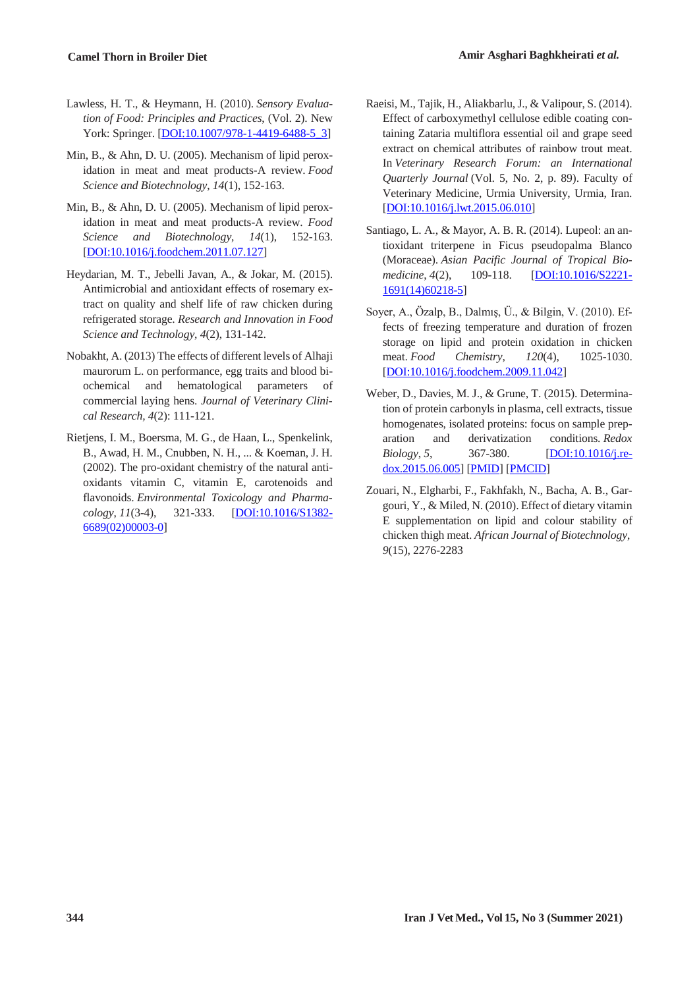- Lawless, H. T., & Heymann, H. (2010). *Sensory Evaluation of Food: Principles and Practices*, (Vol. 2). New York: Springer. [DOI:10.1007/978-1-4419-6488-5\_3]
- Min, B., & Ahn, D. U. (2005). Mechanism of lipid peroxidation in meat and meat products-A review. *Food Science and Biotechnology*, *14*(1), 152-163.
- Min, B., & Ahn, D. U. (2005). Mechanism of lipid peroxidation in meat and meat products-A review. *Food Science and Biotechnology*, *14*(1), 152-163. [DOI:10.1016/j.foodchem.2011.07.127]
- Heydarian, M. T., Jebelli Javan, A., & Jokar, M. (2015). Antimicrobial and antioxidant effects of rosemary extract on quality and shelf life of raw chicken during refrigerated storage. *Research and Innovation in Food Science and Technology*, *4*(2), 131-142.
- Nobakht, A. (2013) The effects of different levels of Alhaji maurorum L. on performance, egg traits and blood biochemical and hematological parameters of commercial laying hens. *Journal of Veterinary Clinical Research, 4*(2): 111-121.
- Rietjens, I. M., Boersma, M. G., de Haan, L., Spenkelink, B., Awad, H. M., Cnubben, N. H., ... & Koeman, J. H. (2002). The pro-oxidant chemistry of the natural antioxidants vitamin C, vitamin E, carotenoids and flavonoids. *Environmental Toxicology and Pharmacology*, *11*(3-4), 321-333. [DOI:10.1016/S1382- 6689(02)00003-0]
- Raeisi, M., Tajik, H., Aliakbarlu, J., & Valipour, S. (2014). Effect of carboxymethyl cellulose edible coating containing Zataria multiflora essential oil and grape seed extract on chemical attributes of rainbow trout meat. In *Veterinary Research Forum: an International Quarterly Journal* (Vol. 5, No. 2, p. 89). Faculty of Veterinary Medicine, Urmia University, Urmia, Iran. [DOI:10.1016/j.lwt.2015.06.010]
- Santiago, L. A., & Mayor, A. B. R. (2014). Lupeol: an antioxidant triterpene in Ficus pseudopalma Blanco (Moraceae). *Asian Pacific Journal of Tropical Biomedicine*, *4*(2), 109-118. [DOI:10.1016/S2221- 1691(14)60218-5]
- Soyer, A., Özalp, B., Dalmış, Ü., & Bilgin, V. (2010). Effects of freezing temperature and duration of frozen storage on lipid and protein oxidation in chicken meat. *Food Chemistry*, *120*(4), 1025-1030. [DOI:10.1016/j.foodchem.2009.11.042]
- Weber, D., Davies, M. J., & Grune, T. (2015). Determination of protein carbonyls in plasma, cell extracts, tissue homogenates, isolated proteins: focus on sample preparation and derivatization conditions. *Redox Biology*, 5, 367-380. **[DOI:10.1016/j.re**dox.2015.06.005] [PMID] [PMCID]
- Zouari, N., Elgharbi, F., Fakhfakh, N., Bacha, A. B., Gargouri, Y., & Miled, N. (2010). Effect of dietary vitamin E supplementation on lipid and colour stability of chicken thigh meat. *African Journal of Biotechnology*, *9*(15), 2276-2283